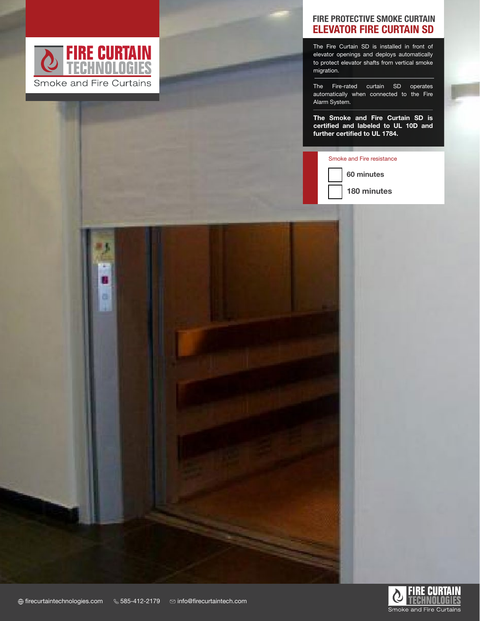

PRODUCT DATA SHEET IN 1999 WAS ARRESTED FOR DESCRIPTION

面

## ELEVATOR FIRE CURTAIN SD FIRE PROTECTIVE SMOKE CURTAIN

The Fire Curtain SD is installed in front of elevator openings and deploys automatically to protect elevator shafts from vertical smoke migration.

The Fire-rated curtain SD operates automatically when connected to the Fire Alarm System.

The Smoke and Fire Curtain SD is certified and labeled to UL 10D and further certified to UL 1784.

## Smoke and Fire resistance



180 minutes